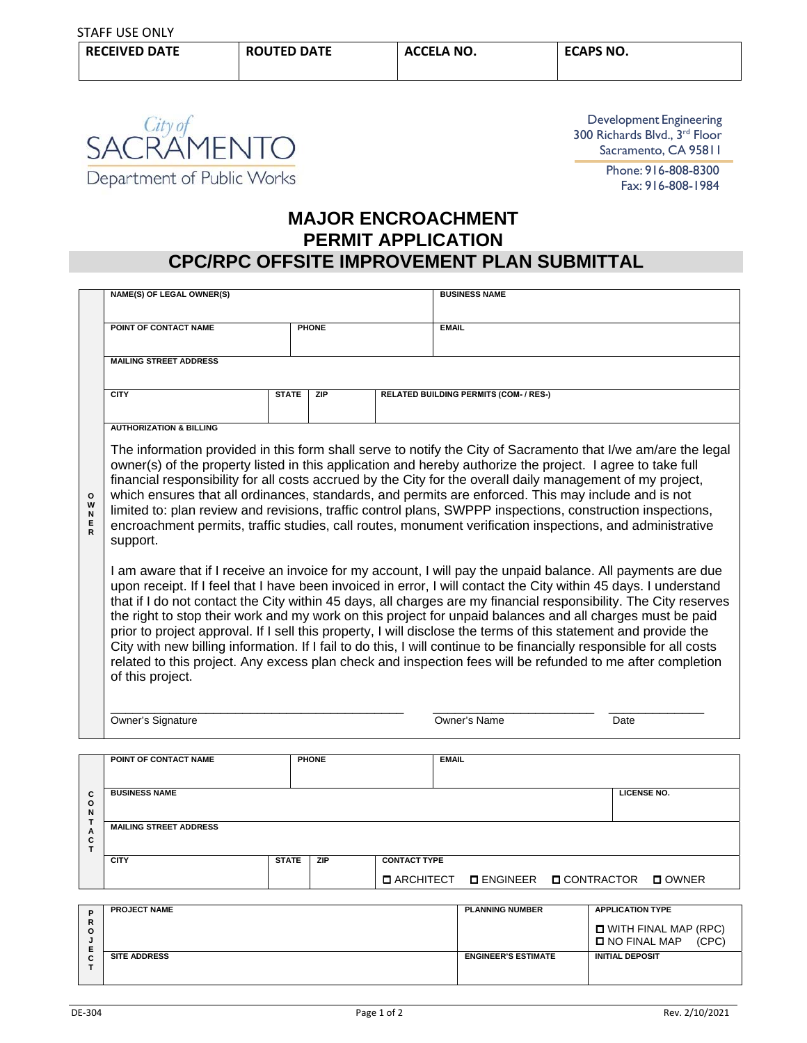

Development Engineering 300 Richards Blvd., 3rd Floor Sacramento, CA 95811

Phone: 916-808-8300 Fax: 916-808-1984

## **MAJOR ENCROACHMENT PERMIT APPLICATION CPC/RPC OFFSITE IMPROVEMENT PLAN SUBMITTAL**

|                                        | <b>NAME(S) OF LEGAL OWNER(S)</b>                                                                                                                                                                                                                                                                                                                                                                                                                                                                                                                                                                                                                                                                                                                                                                                                                                                                                                                                                                                                                                                                                                                                                                  |              |              |  | <b>BUSINESS NAME</b>                          |                    |  |  |
|----------------------------------------|---------------------------------------------------------------------------------------------------------------------------------------------------------------------------------------------------------------------------------------------------------------------------------------------------------------------------------------------------------------------------------------------------------------------------------------------------------------------------------------------------------------------------------------------------------------------------------------------------------------------------------------------------------------------------------------------------------------------------------------------------------------------------------------------------------------------------------------------------------------------------------------------------------------------------------------------------------------------------------------------------------------------------------------------------------------------------------------------------------------------------------------------------------------------------------------------------|--------------|--------------|--|-----------------------------------------------|--------------------|--|--|
|                                        | POINT OF CONTACT NAME<br><b>PHONE</b>                                                                                                                                                                                                                                                                                                                                                                                                                                                                                                                                                                                                                                                                                                                                                                                                                                                                                                                                                                                                                                                                                                                                                             |              |              |  | <b>EMAIL</b>                                  |                    |  |  |
|                                        | <b>MAILING STREET ADDRESS</b>                                                                                                                                                                                                                                                                                                                                                                                                                                                                                                                                                                                                                                                                                                                                                                                                                                                                                                                                                                                                                                                                                                                                                                     |              |              |  |                                               |                    |  |  |
|                                        | <b>CITY</b>                                                                                                                                                                                                                                                                                                                                                                                                                                                                                                                                                                                                                                                                                                                                                                                                                                                                                                                                                                                                                                                                                                                                                                                       | <b>STATE</b> | ZIP          |  | <b>RELATED BUILDING PERMITS (COM- / RES-)</b> |                    |  |  |
| $\circ$<br>W<br>N<br>E<br>$\mathsf{R}$ | <b>AUTHORIZATION &amp; BILLING</b><br>The information provided in this form shall serve to notify the City of Sacramento that I/we am/are the legal<br>owner(s) of the property listed in this application and hereby authorize the project. I agree to take full<br>financial responsibility for all costs accrued by the City for the overall daily management of my project,<br>which ensures that all ordinances, standards, and permits are enforced. This may include and is not<br>limited to: plan review and revisions, traffic control plans, SWPPP inspections, construction inspections,<br>encroachment permits, traffic studies, call routes, monument verification inspections, and administrative<br>support.<br>I am aware that if I receive an invoice for my account, I will pay the unpaid balance. All payments are due<br>upon receipt. If I feel that I have been invoiced in error, I will contact the City within 45 days. I understand<br>that if I do not contact the City within 45 days, all charges are my financial responsibility. The City reserves<br>the right to stop their work and my work on this project for unpaid balances and all charges must be paid |              |              |  |                                               |                    |  |  |
|                                        | prior to project approval. If I sell this property, I will disclose the terms of this statement and provide the<br>City with new billing information. If I fail to do this, I will continue to be financially responsible for all costs<br>related to this project. Any excess plan check and inspection fees will be refunded to me after completion<br>of this project.<br>Owner's Name<br>Owner's Signature<br>Date                                                                                                                                                                                                                                                                                                                                                                                                                                                                                                                                                                                                                                                                                                                                                                            |              |              |  |                                               |                    |  |  |
|                                        |                                                                                                                                                                                                                                                                                                                                                                                                                                                                                                                                                                                                                                                                                                                                                                                                                                                                                                                                                                                                                                                                                                                                                                                                   |              |              |  |                                               |                    |  |  |
|                                        | POINT OF CONTACT NAME                                                                                                                                                                                                                                                                                                                                                                                                                                                                                                                                                                                                                                                                                                                                                                                                                                                                                                                                                                                                                                                                                                                                                                             |              | <b>PHONE</b> |  | <b>EMAIL</b>                                  |                    |  |  |
| C<br>$\circ$<br>N                      | <b>BUSINESS NAME</b>                                                                                                                                                                                                                                                                                                                                                                                                                                                                                                                                                                                                                                                                                                                                                                                                                                                                                                                                                                                                                                                                                                                                                                              |              |              |  |                                               | <b>LICENSE NO.</b> |  |  |
| т<br>A                                 | <b>MAILING STREET ADDRESS</b>                                                                                                                                                                                                                                                                                                                                                                                                                                                                                                                                                                                                                                                                                                                                                                                                                                                                                                                                                                                                                                                                                                                                                                     |              |              |  |                                               |                    |  |  |

| $\overline{\phantom{a}}$<br>C |             |              |     |                     |                        |                 |  |
|-------------------------------|-------------|--------------|-----|---------------------|------------------------|-----------------|--|
|                               | <b>CITY</b> | <b>STATE</b> | ZIP | <b>CONTACT TYPE</b> |                        |                 |  |
|                               |             |              |     | <b>O ARCHITECT</b>  | DENGINEER DICONTRACTOR | $\square$ OWNER |  |
|                               |             |              |     |                     |                        |                 |  |

| в      | <b>PROJECT NAME</b> | <b>PLANNING NUMBER</b>     | <b>APPLICATION TYPE</b>                                |
|--------|---------------------|----------------------------|--------------------------------------------------------|
| R<br>Ο |                     |                            | $\Box$ WITH FINAL MAP (RPC)<br>LINO FINAL MAP<br>(CPC) |
|        | <b>SITE ADDRESS</b> | <b>ENGINEER'S ESTIMATE</b> | <b>INITIAL DEPOSIT</b>                                 |